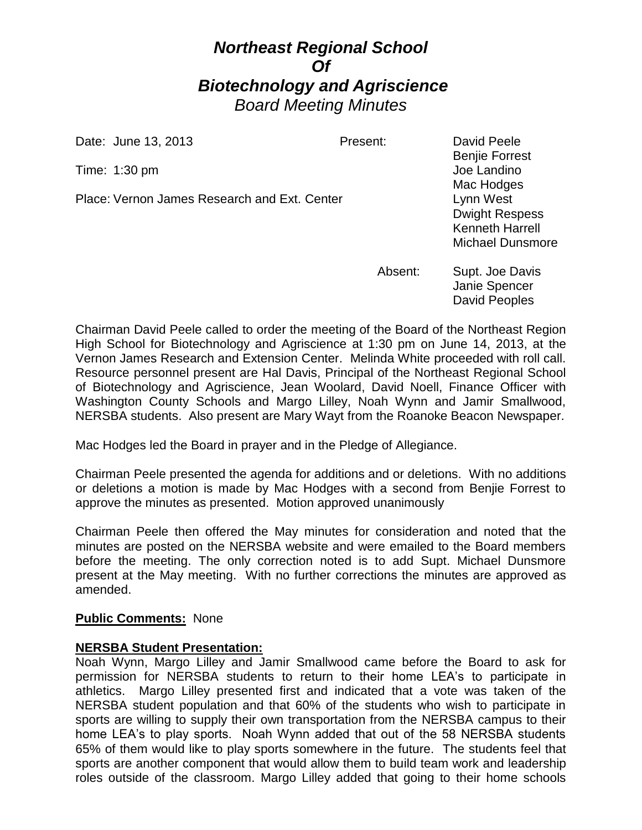# *Northeast Regional School Of Biotechnology and Agriscience Board Meeting Minutes*

Date: June 13, 2013 **Present:** David Peele

Time: 1:30 pm Joe Landino

Place: Vernon James Research and Ext. Center Lynn West

Benjie Forrest Mac Hodges Dwight Respess Kenneth Harrell Michael Dunsmore

Absent: Supt. Joe Davis Janie Spencer David Peoples

Chairman David Peele called to order the meeting of the Board of the Northeast Region High School for Biotechnology and Agriscience at 1:30 pm on June 14, 2013, at the Vernon James Research and Extension Center. Melinda White proceeded with roll call. Resource personnel present are Hal Davis, Principal of the Northeast Regional School of Biotechnology and Agriscience, Jean Woolard, David Noell, Finance Officer with Washington County Schools and Margo Lilley, Noah Wynn and Jamir Smallwood, NERSBA students. Also present are Mary Wayt from the Roanoke Beacon Newspaper.

Mac Hodges led the Board in prayer and in the Pledge of Allegiance.

Chairman Peele presented the agenda for additions and or deletions. With no additions or deletions a motion is made by Mac Hodges with a second from Benjie Forrest to approve the minutes as presented. Motion approved unanimously

Chairman Peele then offered the May minutes for consideration and noted that the minutes are posted on the NERSBA website and were emailed to the Board members before the meeting. The only correction noted is to add Supt. Michael Dunsmore present at the May meeting. With no further corrections the minutes are approved as amended.

## **Public Comments:** None

## **NERSBA Student Presentation:**

Noah Wynn, Margo Lilley and Jamir Smallwood came before the Board to ask for permission for NERSBA students to return to their home LEA's to participate in athletics. Margo Lilley presented first and indicated that a vote was taken of the NERSBA student population and that 60% of the students who wish to participate in sports are willing to supply their own transportation from the NERSBA campus to their home LEA's to play sports. Noah Wynn added that out of the 58 NERSBA students 65% of them would like to play sports somewhere in the future. The students feel that sports are another component that would allow them to build team work and leadership roles outside of the classroom. Margo Lilley added that going to their home schools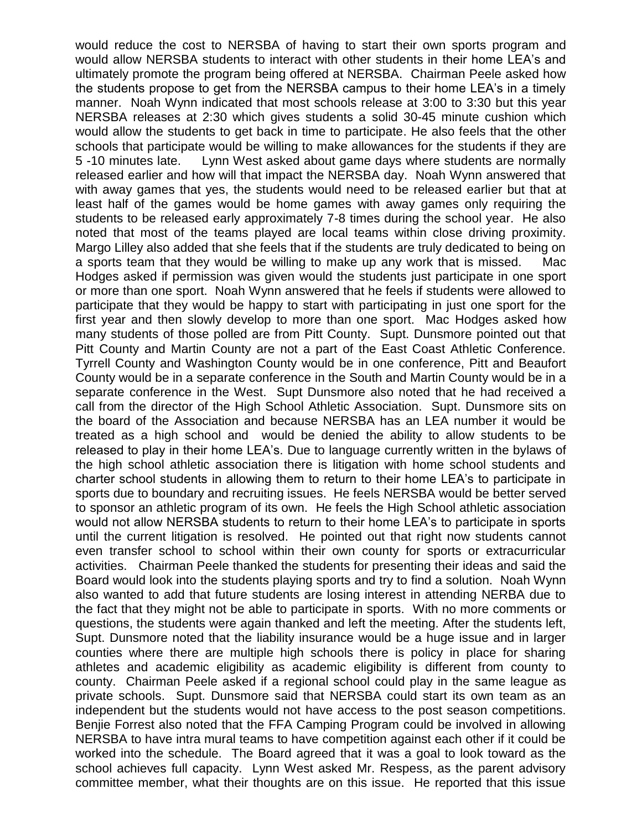would reduce the cost to NERSBA of having to start their own sports program and would allow NERSBA students to interact with other students in their home LEA's and ultimately promote the program being offered at NERSBA. Chairman Peele asked how the students propose to get from the NERSBA campus to their home LEA's in a timely manner. Noah Wynn indicated that most schools release at 3:00 to 3:30 but this year NERSBA releases at 2:30 which gives students a solid 30-45 minute cushion which would allow the students to get back in time to participate. He also feels that the other schools that participate would be willing to make allowances for the students if they are 5 -10 minutes late. Lynn West asked about game days where students are normally released earlier and how will that impact the NERSBA day. Noah Wynn answered that with away games that yes, the students would need to be released earlier but that at least half of the games would be home games with away games only requiring the students to be released early approximately 7-8 times during the school year. He also noted that most of the teams played are local teams within close driving proximity. Margo Lilley also added that she feels that if the students are truly dedicated to being on a sports team that they would be willing to make up any work that is missed. Mac Hodges asked if permission was given would the students just participate in one sport or more than one sport. Noah Wynn answered that he feels if students were allowed to participate that they would be happy to start with participating in just one sport for the first year and then slowly develop to more than one sport. Mac Hodges asked how many students of those polled are from Pitt County. Supt. Dunsmore pointed out that Pitt County and Martin County are not a part of the East Coast Athletic Conference. Tyrrell County and Washington County would be in one conference, Pitt and Beaufort County would be in a separate conference in the South and Martin County would be in a separate conference in the West. Supt Dunsmore also noted that he had received a call from the director of the High School Athletic Association. Supt. Dunsmore sits on the board of the Association and because NERSBA has an LEA number it would be treated as a high school and would be denied the ability to allow students to be released to play in their home LEA's. Due to language currently written in the bylaws of the high school athletic association there is litigation with home school students and charter school students in allowing them to return to their home LEA's to participate in sports due to boundary and recruiting issues. He feels NERSBA would be better served to sponsor an athletic program of its own. He feels the High School athletic association would not allow NERSBA students to return to their home LEA's to participate in sports until the current litigation is resolved. He pointed out that right now students cannot even transfer school to school within their own county for sports or extracurricular activities. Chairman Peele thanked the students for presenting their ideas and said the Board would look into the students playing sports and try to find a solution. Noah Wynn also wanted to add that future students are losing interest in attending NERBA due to the fact that they might not be able to participate in sports. With no more comments or questions, the students were again thanked and left the meeting. After the students left, Supt. Dunsmore noted that the liability insurance would be a huge issue and in larger counties where there are multiple high schools there is policy in place for sharing athletes and academic eligibility as academic eligibility is different from county to county. Chairman Peele asked if a regional school could play in the same league as private schools. Supt. Dunsmore said that NERSBA could start its own team as an independent but the students would not have access to the post season competitions. Benjie Forrest also noted that the FFA Camping Program could be involved in allowing NERSBA to have intra mural teams to have competition against each other if it could be worked into the schedule. The Board agreed that it was a goal to look toward as the school achieves full capacity. Lynn West asked Mr. Respess, as the parent advisory committee member, what their thoughts are on this issue. He reported that this issue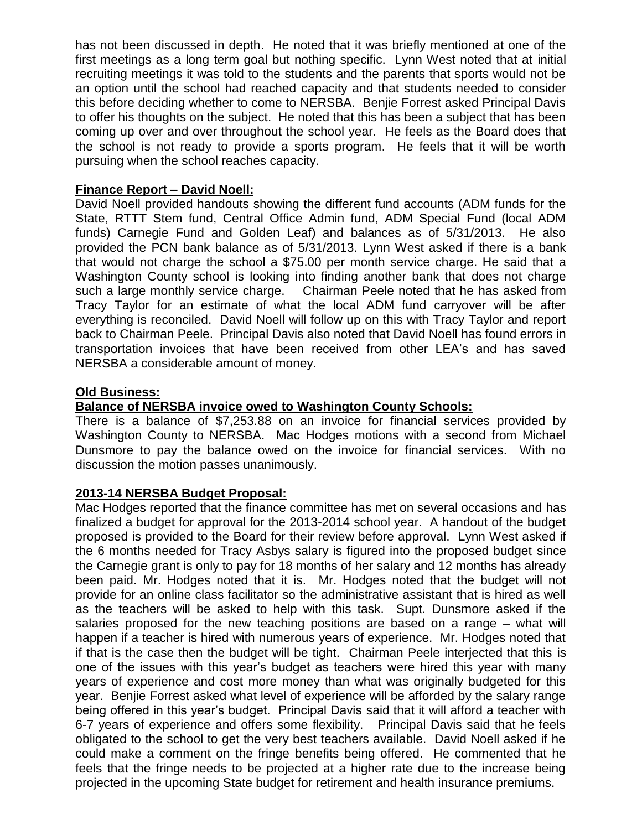has not been discussed in depth. He noted that it was briefly mentioned at one of the first meetings as a long term goal but nothing specific. Lynn West noted that at initial recruiting meetings it was told to the students and the parents that sports would not be an option until the school had reached capacity and that students needed to consider this before deciding whether to come to NERSBA. Benjie Forrest asked Principal Davis to offer his thoughts on the subject. He noted that this has been a subject that has been coming up over and over throughout the school year. He feels as the Board does that the school is not ready to provide a sports program. He feels that it will be worth pursuing when the school reaches capacity.

## **Finance Report – David Noell:**

David Noell provided handouts showing the different fund accounts (ADM funds for the State, RTTT Stem fund, Central Office Admin fund, ADM Special Fund (local ADM funds) Carnegie Fund and Golden Leaf) and balances as of 5/31/2013. He also provided the PCN bank balance as of 5/31/2013. Lynn West asked if there is a bank that would not charge the school a \$75.00 per month service charge. He said that a Washington County school is looking into finding another bank that does not charge such a large monthly service charge. Chairman Peele noted that he has asked from Tracy Taylor for an estimate of what the local ADM fund carryover will be after everything is reconciled. David Noell will follow up on this with Tracy Taylor and report back to Chairman Peele. Principal Davis also noted that David Noell has found errors in transportation invoices that have been received from other LEA's and has saved NERSBA a considerable amount of money.

## **Old Business:**

# **Balance of NERSBA invoice owed to Washington County Schools:**

There is a balance of \$7,253.88 on an invoice for financial services provided by Washington County to NERSBA. Mac Hodges motions with a second from Michael Dunsmore to pay the balance owed on the invoice for financial services. With no discussion the motion passes unanimously.

## **2013-14 NERSBA Budget Proposal:**

Mac Hodges reported that the finance committee has met on several occasions and has finalized a budget for approval for the 2013-2014 school year. A handout of the budget proposed is provided to the Board for their review before approval. Lynn West asked if the 6 months needed for Tracy Asbys salary is figured into the proposed budget since the Carnegie grant is only to pay for 18 months of her salary and 12 months has already been paid. Mr. Hodges noted that it is. Mr. Hodges noted that the budget will not provide for an online class facilitator so the administrative assistant that is hired as well as the teachers will be asked to help with this task. Supt. Dunsmore asked if the salaries proposed for the new teaching positions are based on a range – what will happen if a teacher is hired with numerous years of experience. Mr. Hodges noted that if that is the case then the budget will be tight. Chairman Peele interjected that this is one of the issues with this year's budget as teachers were hired this year with many years of experience and cost more money than what was originally budgeted for this year. Benjie Forrest asked what level of experience will be afforded by the salary range being offered in this year's budget. Principal Davis said that it will afford a teacher with 6-7 years of experience and offers some flexibility. Principal Davis said that he feels obligated to the school to get the very best teachers available. David Noell asked if he could make a comment on the fringe benefits being offered. He commented that he feels that the fringe needs to be projected at a higher rate due to the increase being projected in the upcoming State budget for retirement and health insurance premiums.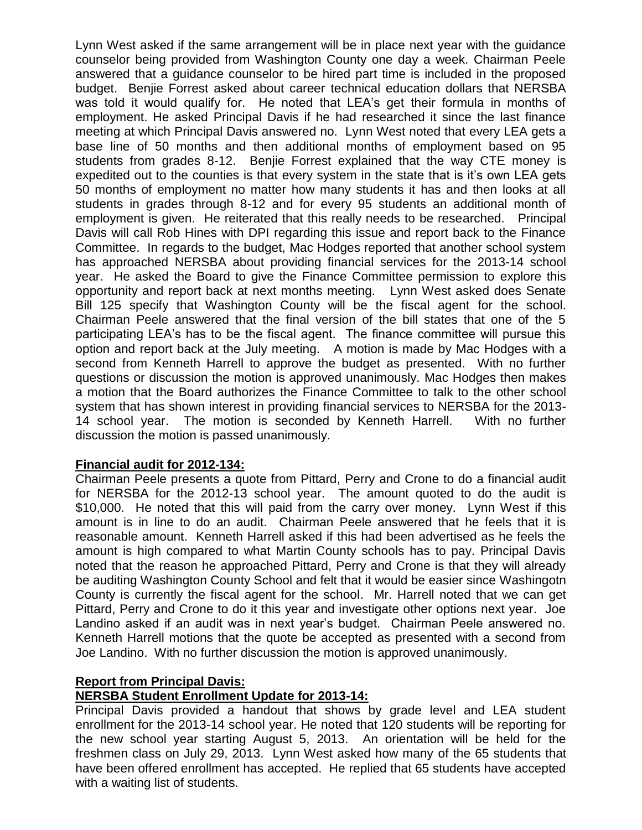Lynn West asked if the same arrangement will be in place next year with the guidance counselor being provided from Washington County one day a week. Chairman Peele answered that a guidance counselor to be hired part time is included in the proposed budget. Benjie Forrest asked about career technical education dollars that NERSBA was told it would qualify for. He noted that LEA's get their formula in months of employment. He asked Principal Davis if he had researched it since the last finance meeting at which Principal Davis answered no. Lynn West noted that every LEA gets a base line of 50 months and then additional months of employment based on 95 students from grades 8-12. Benjie Forrest explained that the way CTE money is expedited out to the counties is that every system in the state that is it's own LEA gets 50 months of employment no matter how many students it has and then looks at all students in grades through 8-12 and for every 95 students an additional month of employment is given. He reiterated that this really needs to be researched. Principal Davis will call Rob Hines with DPI regarding this issue and report back to the Finance Committee. In regards to the budget, Mac Hodges reported that another school system has approached NERSBA about providing financial services for the 2013-14 school year. He asked the Board to give the Finance Committee permission to explore this opportunity and report back at next months meeting. Lynn West asked does Senate Bill 125 specify that Washington County will be the fiscal agent for the school. Chairman Peele answered that the final version of the bill states that one of the 5 participating LEA's has to be the fiscal agent. The finance committee will pursue this option and report back at the July meeting. A motion is made by Mac Hodges with a second from Kenneth Harrell to approve the budget as presented. With no further questions or discussion the motion is approved unanimously. Mac Hodges then makes a motion that the Board authorizes the Finance Committee to talk to the other school system that has shown interest in providing financial services to NERSBA for the 2013- 14 school year. The motion is seconded by Kenneth Harrell. With no further discussion the motion is passed unanimously.

## **Financial audit for 2012-134:**

Chairman Peele presents a quote from Pittard, Perry and Crone to do a financial audit for NERSBA for the 2012-13 school year. The amount quoted to do the audit is \$10,000. He noted that this will paid from the carry over money. Lynn West if this amount is in line to do an audit. Chairman Peele answered that he feels that it is reasonable amount. Kenneth Harrell asked if this had been advertised as he feels the amount is high compared to what Martin County schools has to pay. Principal Davis noted that the reason he approached Pittard, Perry and Crone is that they will already be auditing Washington County School and felt that it would be easier since Washingotn County is currently the fiscal agent for the school. Mr. Harrell noted that we can get Pittard, Perry and Crone to do it this year and investigate other options next year. Joe Landino asked if an audit was in next year's budget. Chairman Peele answered no. Kenneth Harrell motions that the quote be accepted as presented with a second from Joe Landino. With no further discussion the motion is approved unanimously.

## **Report from Principal Davis:**

# **NERSBA Student Enrollment Update for 2013-14:**

Principal Davis provided a handout that shows by grade level and LEA student enrollment for the 2013-14 school year. He noted that 120 students will be reporting for the new school year starting August 5, 2013. An orientation will be held for the freshmen class on July 29, 2013. Lynn West asked how many of the 65 students that have been offered enrollment has accepted. He replied that 65 students have accepted with a waiting list of students.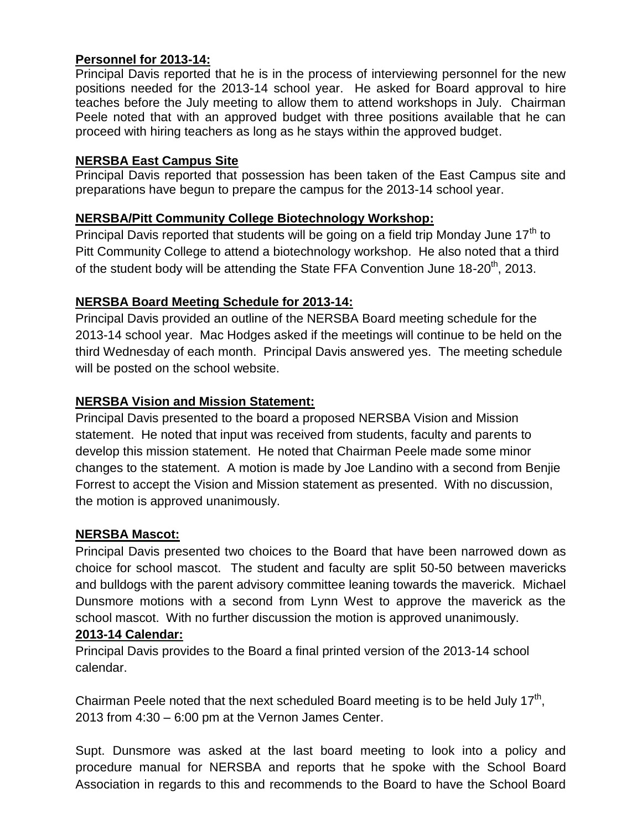## **Personnel for 2013-14:**

Principal Davis reported that he is in the process of interviewing personnel for the new positions needed for the 2013-14 school year. He asked for Board approval to hire teaches before the July meeting to allow them to attend workshops in July. Chairman Peele noted that with an approved budget with three positions available that he can proceed with hiring teachers as long as he stays within the approved budget.

## **NERSBA East Campus Site**

Principal Davis reported that possession has been taken of the East Campus site and preparations have begun to prepare the campus for the 2013-14 school year.

# **NERSBA/Pitt Community College Biotechnology Workshop:**

Principal Davis reported that students will be going on a field trip Monday June  $17<sup>th</sup>$  to Pitt Community College to attend a biotechnology workshop. He also noted that a third of the student body will be attending the State FFA Convention June  $18\text{-}20^{th}$ , 2013.

# **NERSBA Board Meeting Schedule for 2013-14:**

Principal Davis provided an outline of the NERSBA Board meeting schedule for the 2013-14 school year. Mac Hodges asked if the meetings will continue to be held on the third Wednesday of each month. Principal Davis answered yes. The meeting schedule will be posted on the school website.

# **NERSBA Vision and Mission Statement:**

Principal Davis presented to the board a proposed NERSBA Vision and Mission statement. He noted that input was received from students, faculty and parents to develop this mission statement. He noted that Chairman Peele made some minor changes to the statement. A motion is made by Joe Landino with a second from Benjie Forrest to accept the Vision and Mission statement as presented. With no discussion, the motion is approved unanimously.

## **NERSBA Mascot:**

Principal Davis presented two choices to the Board that have been narrowed down as choice for school mascot. The student and faculty are split 50-50 between mavericks and bulldogs with the parent advisory committee leaning towards the maverick. Michael Dunsmore motions with a second from Lynn West to approve the maverick as the school mascot. With no further discussion the motion is approved unanimously.

## **2013-14 Calendar:**

Principal Davis provides to the Board a final printed version of the 2013-14 school calendar.

Chairman Peele noted that the next scheduled Board meeting is to be held July 17<sup>th</sup>, 2013 from 4:30 – 6:00 pm at the Vernon James Center.

Supt. Dunsmore was asked at the last board meeting to look into a policy and procedure manual for NERSBA and reports that he spoke with the School Board Association in regards to this and recommends to the Board to have the School Board